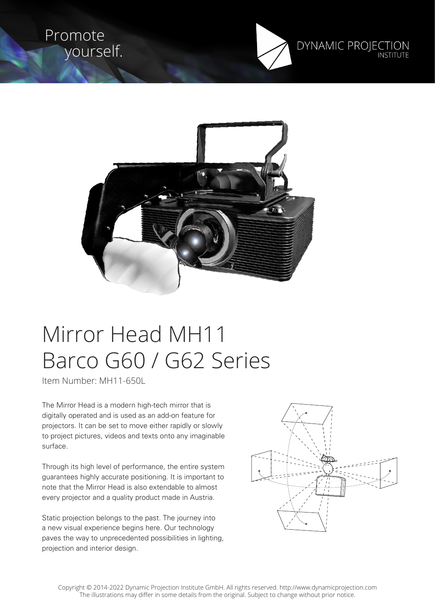## Promote yourself.





# Mirror Head MH11 Barco G60 / G62 Series

Item Number: MH11-650L

The Mirror Head is a modern high-tech mirror that is digitally operated and is used as an add-on feature for projectors. It can be set to move either rapidly or slowly to project pictures, videos and texts onto any imaginable surface.

Through its high level of performance, the entire system guarantees highly accurate positioning. It is important to note that the Mirror Head is also extendable to almost every projector and a quality product made in Austria.

Static projection belongs to the past. The journey into a new visual experience begins here. Our technology paves the way to unprecedented possibilities in lighting, projection and interior design.